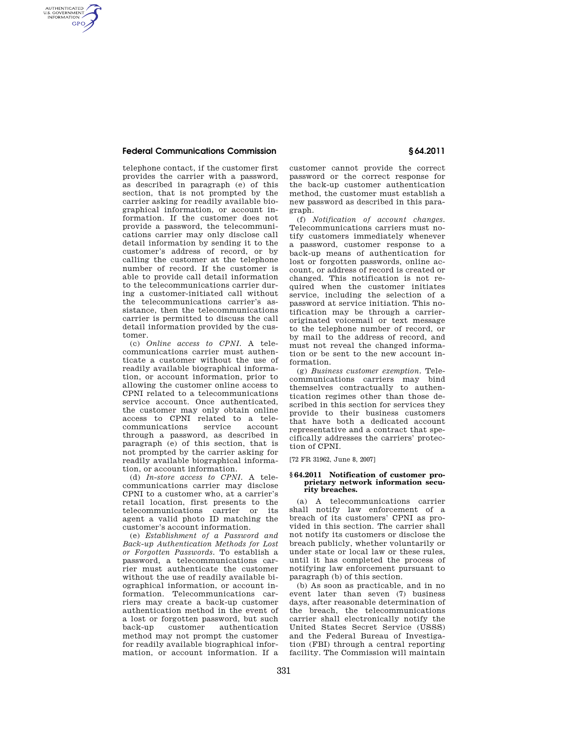### **Federal Communications Commission § 64.2011**

AUTHENTICATED<br>U.S. GOVERNMENT<br>INFORMATION **GPO** 

> telephone contact, if the customer first provides the carrier with a password, as described in paragraph (e) of this section, that is not prompted by the carrier asking for readily available biographical information, or account information. If the customer does not provide a password, the telecommunications carrier may only disclose call detail information by sending it to the customer's address of record, or by calling the customer at the telephone number of record. If the customer is able to provide call detail information to the telecommunications carrier during a customer-initiated call without the telecommunications carrier's assistance, then the telecommunications carrier is permitted to discuss the call detail information provided by the customer.

> (c) *Online access to CPNI.* A telecommunications carrier must authenticate a customer without the use of readily available biographical information, or account information, prior to allowing the customer online access to CPNI related to a telecommunications service account. Once authenticated, the customer may only obtain online access to CPNI related to a telecommunications through a password, as described in paragraph (e) of this section, that is not prompted by the carrier asking for readily available biographical information, or account information.

> (d) *In-store access to CPNI.* A telecommunications carrier may disclose CPNI to a customer who, at a carrier's retail location, first presents to the telecommunications carrier or its agent a valid photo ID matching the customer's account information.

(e) *Establishment of a Password and Back-up Authentication Methods for Lost or Forgotten Passwords.* To establish a password, a telecommunications carrier must authenticate the customer without the use of readily available biographical information, or account information. Telecommunications carriers may create a back-up customer authentication method in the event of a lost or forgotten password, but such customer authentication method may not prompt the customer for readily available biographical information, or account information. If a

customer cannot provide the correct password or the correct response for the back-up customer authentication method, the customer must establish a new password as described in this paragraph.

(f) *Notification of account changes.*  Telecommunications carriers must notify customers immediately whenever a password, customer response to a back-up means of authentication for lost or forgotten passwords, online account, or address of record is created or changed. This notification is not required when the customer initiates service, including the selection of a password at service initiation. This notification may be through a carrieroriginated voicemail or text message to the telephone number of record, or by mail to the address of record, and must not reveal the changed information or be sent to the new account information.

(g) *Business customer exemption.* Telecommunications carriers may bind themselves contractually to authentication regimes other than those described in this section for services they provide to their business customers that have both a dedicated account representative and a contract that specifically addresses the carriers' protection of CPNI.

[72 FR 31962, June 8, 2007]

#### **§ 64.2011 Notification of customer proprietary network information security breaches.**

(a) A telecommunications carrier shall notify law enforcement of a breach of its customers' CPNI as provided in this section. The carrier shall not notify its customers or disclose the breach publicly, whether voluntarily or under state or local law or these rules, until it has completed the process of notifying law enforcement pursuant to paragraph (b) of this section.

(b) As soon as practicable, and in no event later than seven (7) business days, after reasonable determination of the breach, the telecommunications carrier shall electronically notify the United States Secret Service (USSS) and the Federal Bureau of Investigation (FBI) through a central reporting facility. The Commission will maintain